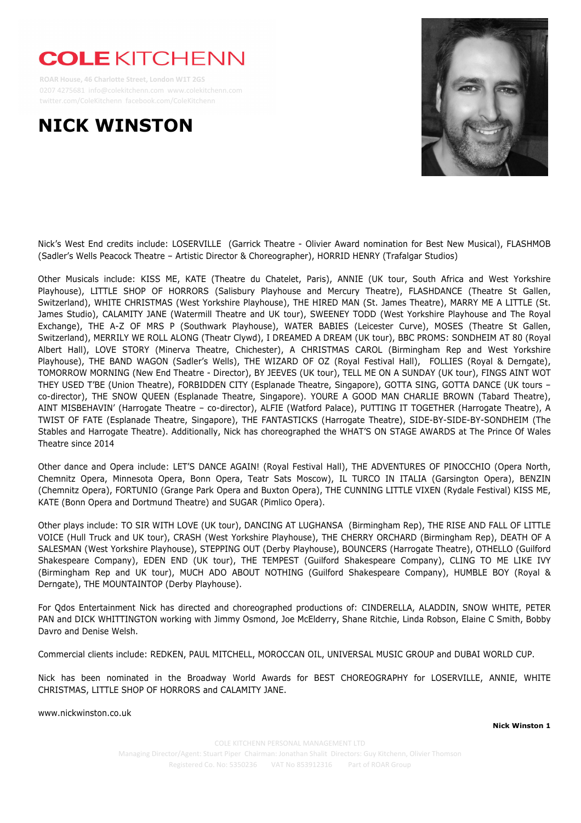## **COLE KITCHENN**

 **ROAR House, 46 Charlotte Street, London W1T 2GS** 0207 4275681 info@colekitchenn.com www.colekitchenn.com twitter.com/ColeKitchenn facebook.com/ColeKitchenn

## **NICK WINSTON**



Nick's West End credits include: LOSERVILLE (Garrick Theatre - Olivier Award nomination for Best New Musical), FLASHMOB (Sadler's Wells Peacock Theatre – Artistic Director & Choreographer), HORRID HENRY (Trafalgar Studios)

Other Musicals include: KISS ME, KATE (Theatre du Chatelet, Paris), ANNIE (UK tour, South Africa and West Yorkshire Playhouse), LITTLE SHOP OF HORRORS (Salisbury Playhouse and Mercury Theatre), FLASHDANCE (Theatre St Gallen, Switzerland), WHITE CHRISTMAS (West Yorkshire Playhouse), THE HIRED MAN (St. James Theatre), MARRY ME A LITTLE (St. James Studio), CALAMITY JANE (Watermill Theatre and UK tour), SWEENEY TODD (West Yorkshire Playhouse and The Royal Exchange), THE A-Z OF MRS P (Southwark Playhouse), WATER BABIES (Leicester Curve), MOSES (Theatre St Gallen, Switzerland), MERRILY WE ROLL ALONG (Theatr Clywd), I DREAMED A DREAM (UK tour), BBC PROMS: SONDHEIM AT 80 (Royal Albert Hall), LOVE STORY (Minerva Theatre, Chichester), A CHRISTMAS CAROL (Birmingham Rep and West Yorkshire Playhouse), THE BAND WAGON (Sadler's Wells), THE WIZARD OF OZ (Royal Festival Hall), FOLLIES (Royal & Derngate), TOMORROW MORNING (New End Theatre - Director), BY JEEVES (UK tour), TELL ME ON A SUNDAY (UK tour), FINGS AINT WOT THEY USED T'BE (Union Theatre), FORBIDDEN CITY (Esplanade Theatre, Singapore), GOTTA SING, GOTTA DANCE (UK tours – co-director), THE SNOW QUEEN (Esplanade Theatre, Singapore). YOURE A GOOD MAN CHARLIE BROWN (Tabard Theatre), AINT MISBEHAVIN' (Harrogate Theatre – co-director), ALFIE (Watford Palace), PUTTING IT TOGETHER (Harrogate Theatre), A TWIST OF FATE (Esplanade Theatre, Singapore), THE FANTASTICKS (Harrogate Theatre), SIDE-BY-SIDE-BY-SONDHEIM (The Stables and Harrogate Theatre). Additionally, Nick has choreographed the WHAT'S ON STAGE AWARDS at The Prince Of Wales Theatre since 2014

Other dance and Opera include: LET'S DANCE AGAIN! (Royal Festival Hall), THE ADVENTURES OF PINOCCHIO (Opera North, Chemnitz Opera, Minnesota Opera, Bonn Opera, Teatr Sats Moscow), IL TURCO IN ITALIA (Garsington Opera), BENZIN (Chemnitz Opera), FORTUNIO (Grange Park Opera and Buxton Opera), THE CUNNING LITTLE VIXEN (Rydale Festival) KISS ME, KATE (Bonn Opera and Dortmund Theatre) and SUGAR (Pimlico Opera).

Other plays include: TO SIR WITH LOVE (UK tour), DANCING AT LUGHANSA (Birmingham Rep), THE RISE AND FALL OF LITTLE VOICE (Hull Truck and UK tour), CRASH (West Yorkshire Playhouse), THE CHERRY ORCHARD (Birmingham Rep), DEATH OF A SALESMAN (West Yorkshire Playhouse), STEPPING OUT (Derby Playhouse), BOUNCERS (Harrogate Theatre), OTHELLO (Guilford Shakespeare Company), EDEN END (UK tour), THE TEMPEST (Guilford Shakespeare Company), CLING TO ME LIKE IVY (Birmingham Rep and UK tour), MUCH ADO ABOUT NOTHING (Guilford Shakespeare Company), HUMBLE BOY (Royal & Derngate), THE MOUNTAINTOP (Derby Playhouse).

For Qdos Entertainment Nick has directed and choreographed productions of: CINDERELLA, ALADDIN, SNOW WHITE, PETER PAN and DICK WHITTINGTON working with Jimmy Osmond, Joe McElderry, Shane Ritchie, Linda Robson, Elaine C Smith, Bobby Davro and Denise Welsh.

Commercial clients include: REDKEN, PAUL MITCHELL, MOROCCAN OIL, UNIVERSAL MUSIC GROUP and DUBAI WORLD CUP.

Nick has been nominated in the Broadway World Awards for BEST CHOREOGRAPHY for LOSERVILLE, ANNIE, WHITE CHRISTMAS, LITTLE SHOP OF HORRORS and CALAMITY JANE.

www.nickwinston.co.uk